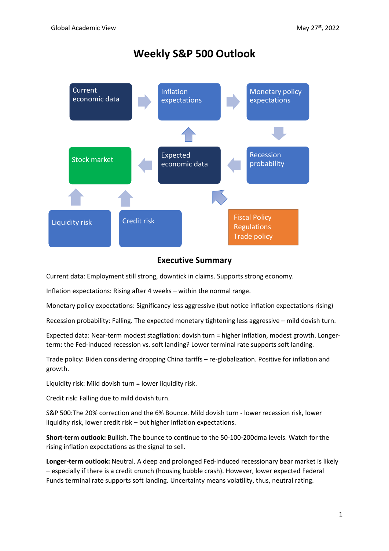# **Weekly S&P 500 Outlook**



### **Executive Summary**

Current data: Employment still strong, downtick in claims. Supports strong economy.

Inflation expectations: Rising after 4 weeks – within the normal range.

Monetary policy expectations: Significancy less aggressive (but notice inflation expectations rising)

Recession probability: Falling. The expected monetary tightening less aggressive – mild dovish turn.

Expected data: Near-term modest stagflation: dovish turn = higher inflation, modest growth. Longerterm: the Fed-induced recession vs. soft landing? Lower terminal rate supports soft landing.

Trade policy: Biden considering dropping China tariffs – re-globalization. Positive for inflation and growth.

Liquidity risk: Mild dovish turn = lower liquidity risk.

Credit risk: Falling due to mild dovish turn.

S&P 500:The 20% correction and the 6% Bounce. Mild dovish turn - lower recession risk, lower liquidity risk, lower credit risk – but higher inflation expectations.

**Short-term outlook:** Bullish. The bounce to continue to the 50-100-200dma levels. Watch for the rising inflation expectations as the signal to sell.

**Longer-term outlook:** Neutral. A deep and prolonged Fed-induced recessionary bear market is likely – especially if there is a credit crunch (housing bubble crash). However, lower expected Federal Funds terminal rate supports soft landing. Uncertainty means volatility, thus, neutral rating.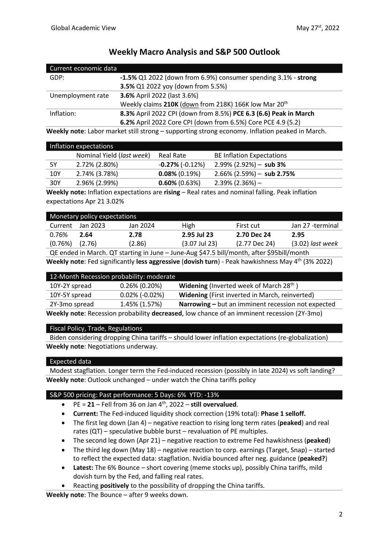| Current economic data |                                                                   |  |
|-----------------------|-------------------------------------------------------------------|--|
| GDP:                  | -1.5% Q1 2022 (down from 6.9%) consumer spending 3.1% - strong    |  |
|                       | 3.5% Q1 2022 yoy (down from 5.5%)                                 |  |
| Unemployment rate     | 3.6% April 2022 (last 3.6%)                                       |  |
|                       | Weekly claims 210K (down from 218K) 166K low Mar 20 <sup>th</sup> |  |
| Inflation:            | 8.3% April 2022 CPI (down from 8.5%) PCE 6.3 (6.6) Peak in March  |  |
|                       | 6.2% April 2022 Core CPI (down from 6.5%) Core PCE 4.9 (5.2)      |  |

## **Weekly Macro Analysis and S&P 500 Outlook**

**Weekly note**: Labor market still strong – supporting strong economy. Inflation peaked in March.

|     | Inflation expectations    |                         |                                  |
|-----|---------------------------|-------------------------|----------------------------------|
|     | Nominal Yield (last week) | Real Rate               | <b>BE Inflation Expectations</b> |
| 5Y  | 2.72% (2.80%)             | $-0.27\%$ ( $-0.12\%$ ) | $2.99\%$ (2.92%) - sub 3%        |
| 10Y | 2.74% (3.78%)             | $0.08\%$ (0.19%)        | $2.66\%$ (2.59%) - sub 2.75%     |
| 30Y | 2.96% (2.99%)             | $0.60\%$ (0.63%)        | $2.39\%$ (2.36%) $-$             |

**Weekly note:** Inflation expectations are **rising** – Real rates and nominal falling. Peak inflation expectations Apr 21 3.02%

| Monetary policy expectations |                    |          |                 |                 |                    |
|------------------------------|--------------------|----------|-----------------|-----------------|--------------------|
| Current                      | Jan 2023           | Jan 2024 | High            | First cut       | Jan 27 -terminal   |
| 0.76%                        | 2.64               | 2.78     | 2.95 Jul 23     | 2.70 Dec 24     | 2.95               |
| (0.76%)                      | (2.76)             | (2.86)   | $(3.07$ Jul 23) | $(2.77$ Dec 24) | $(3.02)$ last week |
|                              | __ _ _ _ _ _ _ _ _ |          |                 |                 |                    |

QE ended in March. QT starting in June – June-Aug \$47.5 bill/month, after \$95bill/month **Weekly note**: Fed significantly **less aggressive** (**dovish turn**) - Peak hawkishness May 4th (3% 2022)

|                                                                                            | 12-Month Recession probability: moderate |                                                            |
|--------------------------------------------------------------------------------------------|------------------------------------------|------------------------------------------------------------|
| 10Y-2Y spread                                                                              | $0.26\%$ (0.20%)                         | <b>Widening</b> (Inverted week of March 28 <sup>th</sup> ) |
| 10Y-5Y spread                                                                              | $0.02\%$ (-0.02%)                        | Widening (First inverted in March, reinverted)             |
| 2Y-3mo spread                                                                              | 1.45% (1.57%)                            | Narrowing - but an imminent recession not expected         |
| Weekly note: Recession probability decreased, low chance of an imminent recession (2Y-3mo) |                                          |                                                            |

#### Fiscal Policy, Trade, Regulations

Biden considering dropping China tariffs – should lower inflation expectations (re-globalization) **Weekly note**: Negotiations underway.

#### Expected data

Modest stagflation. Longer term the Fed-induced recession (possibly in late 2024) vs soft landing? **Weekly note**: Outlook unchanged – under watch the China tariffs policy

#### S&P 500 pricing: Past performance: 5 Days: 6% YTD: -13%

- $\bullet$  PE = 21 Fell from 36 on Jan 4<sup>th</sup>, 2022 still overvalued.
- **Current:** The Fed-induced liquidity shock correction (19% total): **Phase 1 selloff.**
- The first leg down (Jan 4) negative reaction to rising long term rates (**peaked**) and real rates (QT) – speculative bubble burst – revaluation of PE multiples.
- The second leg down (Apr 21) negative reaction to extreme Fed hawkishness (**peaked**)
- The third leg down (May 18) negative reaction to corp. earnings (Target, Snap) started to reflect the expected data: stagflation. Nvidia bounced after neg. guidance (**peaked?**)
- **Latest:** The 6% Bounce short covering (meme stocks up), possibly China tariffs, mild dovish turn by the Fed, and falling real rates.
- Reacting **positively** to the possibility of dropping the China tariffs.

**Weekly note**: The Bounce – after 9 weeks down.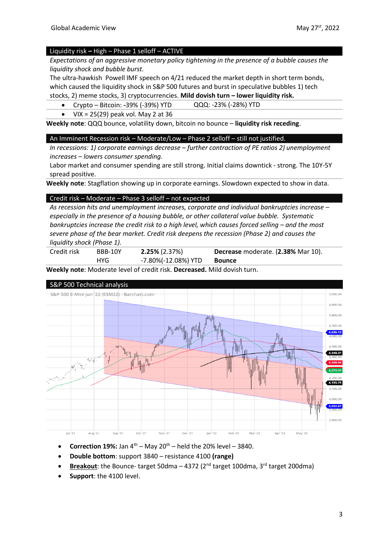#### Liquidity risk **–** High – Phase 1 selloff – ACTIVE

*Expectations of an aggressive monetary policy tightening in the presence of a bubble causes the liquidity shock and bubble burst.*

The ultra-hawkish Powell IMF speech on 4/21 reduced the market depth in short term bonds, which caused the liquidity shock in S&P 500 futures and burst in speculative bubbles 1) tech stocks, 2) meme stocks, 3) cryptocurrencies. **Mild dovish turn – lower liquidity risk.**

• Crypto – Bitcoin: **-**39% (-39%) YTD QQQ: -23% (-28%) YTD

• VIX =  $25(29)$  peak vol. May 2 at 36

**Weekly note**: QQQ bounce, volatility down, bitcoin no bounce – **liquidity risk receding**.

#### An Imminent Recession risk – Moderate/Low – Phase 2 selloff – still not justified.

*In recessions: 1) corporate earnings decrease – further contraction of PE ratios 2) unemployment increases – lowers consumer spending.*

Labor market and consumer spending are still strong. Initial claims downtick - strong. The 10Y-5Y spread positive.

**Weekly note**: Stagflation showing up in corporate earnings. Slowdown expected to show in data.

#### Credit risk – Moderate – Phase 3 selloff – not expected

*As recession hits and unemployment increases, corporate and individual bankruptcies increase – especially in the presence of a housing bubble, or other collateral value bubble. Systematic bankruptcies increase the credit risk to a high level, which causes forced selling – and the most severe phase of the bear market. Credit risk deepens the recession (Phase 2) and causes the liquidity shock (Phase 1).* 

| Credit risk | BBB-10Y | $2.25\%$ (2.37%)    | Decrease moderate. (2.38% Mar 10). |
|-------------|---------|---------------------|------------------------------------|
|             | HYG.    | -7.80%(-12.08%) YTD | Bounce                             |

**Weekly note**: Moderate level of credit risk. **Decreased.** Mild dovish turn.



- **Correction 19%:** Jan  $4^{th}$  May  $20^{th}$  held the 20% level 3840.
- **Double bottom**: support 3840 resistance 4100 **(range)**
- **Breakout**: the Bounce- target 50dma  $-$  4372 ( $2<sup>nd</sup>$  target 100dma,  $3<sup>rd</sup>$  target 200dma)
- **Support**: the 4100 level.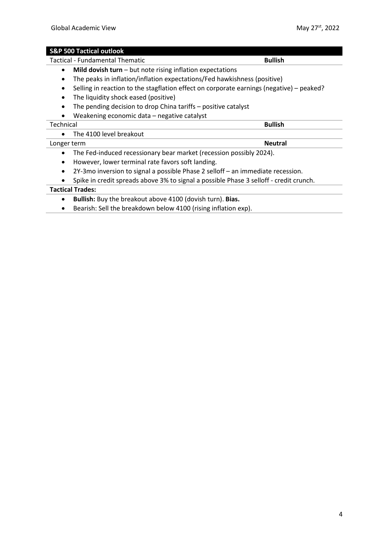#### **S&P 500 Tactical outlook**

Tactical - Fundamental Thematic **Bullish Bullish** 

- **Mild dovish turn** but note rising inflation expectations
- The peaks in inflation/inflation expectations/Fed hawkishness (positive)
- Selling in reaction to the stagflation effect on corporate earnings (negative) peaked?
- The liquidity shock eased (positive)
- The pending decision to drop China tariffs positive catalyst
- Weakening economic data negative catalyst

#### **Technical Bullish**

| The 4100 level breakout |
|-------------------------|
|-------------------------|

#### Longer term **Neutral**

- The Fed-induced recessionary bear market (recession possibly 2024).
- However, lower terminal rate favors soft landing.
- 2Y-3mo inversion to signal a possible Phase 2 selloff an immediate recession.
- Spike in credit spreads above 3% to signal a possible Phase 3 selloff credit crunch.

#### **Tactical Trades:**

- **Bullish:** Buy the breakout above 4100 (dovish turn). **Bias.**
- Bearish: Sell the breakdown below 4100 (rising inflation exp).